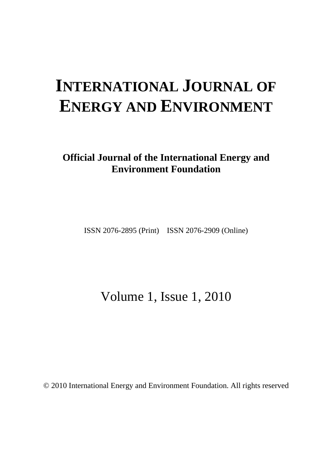# **INTERNATIONAL JOURNAL OF ENERGY AND ENVIRONMENT**

**Official Journal of the International Energy and Environment Foundation** 

ISSN 2076-2895 (Print) ISSN 2076-2909 (Online)

Volume 1, Issue 1, 2010

© 2010 International Energy and Environment Foundation. All rights reserved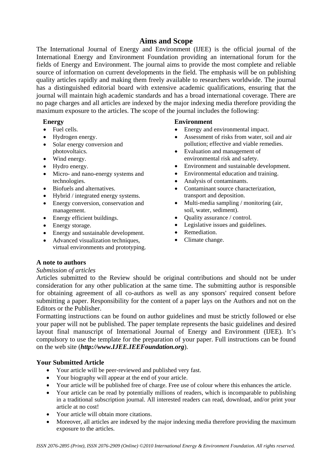## **Aims and Scope**

The International Journal of Energy and Environment (IJEE) is the official journal of the International Energy and Environment Foundation providing an international forum for the fields of Energy and Environment. The journal aims to provide the most complete and reliable source of information on current developments in the field. The emphasis will be on publishing quality articles rapidly and making them freely available to researchers worldwide. The journal has a distinguished editorial board with extensive academic qualifications, ensuring that the journal will maintain high academic standards and has a broad international coverage. There are no page charges and all articles are indexed by the major indexing media therefore providing the maximum exposure to the articles. The scope of the journal includes the following:

## **Energy**

- Fuel cells.
- Hydrogen energy.
- Solar energy conversion and photovoltaics.
- Wind energy.
- Hydro energy.
- Micro- and nano-energy systems and technologies.
- Biofuels and alternatives.
- Hybrid / integrated energy systems.
- Energy conversion, conservation and management.
- Energy efficient buildings.
- Energy storage.
- Energy and sustainable development.
- Advanced visualization techniques, virtual environments and prototyping.

### **Environment**

- Energy and environmental impact.
- Assessment of risks from water, soil and air pollution; effective and viable remedies.
- Evaluation and management of environmental risk and safety.
- Environment and sustainable development.
- Environmental education and training.
- Analysis of contaminants.
- Contaminant source characterization. transport and deposition.
- Multi-media sampling / monitoring (air, soil, water, sediment).
- Ouality assurance / control.
- Legislative issues and guidelines.
- Remediation.
- Climate change.

## **A note to authors**

## *Submission of articles*

Articles submitted to the Review should be original contributions and should not be under consideration for any other publication at the same time. The submitting author is responsible for obtaining agreement of all co-authors as well as any sponsors' required consent before submitting a paper. Responsibility for the content of a paper lays on the Authors and not on the Editors or the Publisher.

Formatting instructions can be found on author guidelines and must be strictly followed or else your paper will not be published. The paper template represents the basic guidelines and desired layout final manuscript of International Journal of Energy and Environment (IJEE). It's compulsory to use the template for the preparation of your paper. Full instructions can be found on the web site (*http://www.IJEE.IEEFoundation.org*).

## **Your Submitted Article**

- Your article will be peer-reviewed and published very fast.
- Your biography will appear at the end of your article.
- Your article will be published free of charge. Free use of colour where this enhances the article.
- Your article can be read by potentially millions of readers, which is incomparable to publishing in a traditional subscription journal. All interested readers can read, download, and/or print your article at no cost!
- Your article will obtain more citations.
- Moreover, all articles are indexed by the major indexing media therefore providing the maximum exposure to the articles.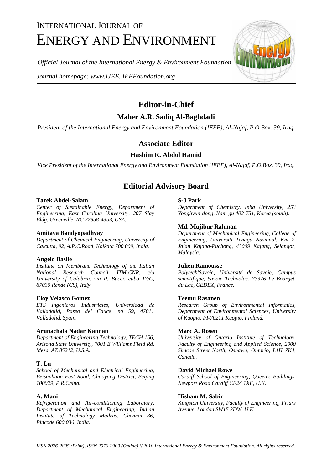## INTERNATIONAL JOURNAL OF ENERGY AND ENVIRONMENT

*Official Journal of the International Energy & Environment Foundation*

*Journal homepage: www.IJEE. IEEFoundation.org* 



## **Editor-in-Chief**

**Maher A.R. Sadiq Al-Baghdadi** 

*President of the International Energy and Environment Foundation (IEEF), Al-Najaf, P.O.Box. 39, Iraq.*

## **Associate Editor**

## **Hashim R. Abdol Hamid**

*Vice President of the International Energy and Environment Foundation (IEEF), Al-Najaf, P.O.Box. 39, Iraq.* 

## **Editorial Advisory Board**

#### **Tarek Abdel-Salam**

*Center of Sustainable Energy, Department of Engineering, East Carolina University, 207 Slay Bldg.,Greenville, NC 27858-4353, USA.* 

#### **Amitava Bandyopadhyay**

*Department of Chemical Engineering, University of Calcutta, 92, A.P.C.Road, Kolkata 700 009, India.*

#### **Angelo Basile**

*Institute on Membrane Technology of the Italian National Research Council, ITM-CNR, c/o University of Calabria, via P. Bucci, cubo 17/C, 87030 Rende (CS), Italy.* 

#### **Eloy Velasco Gomez**

*ETS Ingenieros Industriales, Universidad de Valladolid, Paseo del Cauce, no 59, 47011 Valladolid, Spain.* 

#### **Arunachala Nadar Kannan**

*Department of Engineering Technology, TECH 156, Arizona State University, 7001 E Williams Field Rd, Mesa, AZ 85212, U.S.A.* 

#### **T. Lu**

*School of Mechanical and Electrical Engineering, Beisanhuan East Road, Chaoyang District, Beijing 100029, P.R.China.* 

#### **A. Mani**

*Refrigeration and Air-conditioning Laboratory, Department of Mechanical Engineering, Indian Institute of Technology Madras, Chennai 36, Pincode 600 036, India.* 

#### **S-J Park**

*Department of Chemistry, Inha University, 253 Yonghyun-dong, Nam-gu 402-751, Korea (south).*

#### **Md. Mujibur Rahman**

*Department of Mechanical Engineering, College of Engineering, Universiti Tenaga Nasional, Km 7, Jalan Kajang-Puchong, 43009 Kajang, Selangor, Malaysia.* 

#### **Julien Ramousse**

*Polytech'Savoie, Université de Savoie, Campus scientifique, Savoie Technolac, 73376 Le Bourget, du Lac, CEDEX, France.* 

#### **Teemu Rasanen**

*Research Group of Environmental Informatics, Department of Environmental Sciences, University of Kuopio, FI-70211 Kuopio, Finland.* 

#### **Marc A. Rosen**

*University of Ontario Institute of Technology, Faculty of Engineering and Applied Science, 2000 Simcoe Street North, Oshawa, Ontario, L1H 7K4, Canada.* 

#### **David Michael Rowe**

*Cardiff School of Engineering, Queen's Buildings, Newport Road Cardiff CF24 1XF, U.K.* 

#### **Hisham M. Sabir**

*Kingston University, Faculty of Engineering, Friars Avenue, London SW15 3DW, U.K.*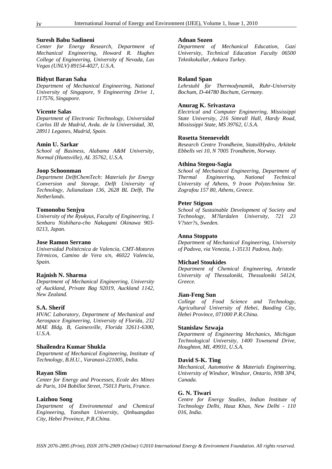#### **Suresh Babu Sadineni**

*Center for Energy Research, Department of Mechanical Engineering, Howard R. Hughes College of Engineering, University of Nevada, Las Vegas (UNLV) 89154-4027, U.S.A.*

#### **Bidyut Baran Saha**

*Department of Mechanical Engineering, National University of Singapore, 9 Engineering Drive 1, 117576, Singapore.* 

#### **Vicente Salas**

*Department of Electronic Technology, Universidad Carlos III de Madrid, Avda. de la Universidad, 30, 28911 Leganes, Madrid, Spain.* 

#### **Amin U. Sarkar**

*School of Business, Alabama A&M University, Normal (Huntsville), AL 35762, U.S.A.* 

#### **Joop Schoonman**

*Department DelftChemTech: Materials for Energy Conversion and Storage, Delft University of Technology, Julianalaan 136, 2628 BL Delft, The Netherlands.* 

#### **Tomonobu Senjyu**

*University of the Ryukyus, Faculty of Engineering, 1 Senbaru Nishihara-cho Nakagami Okinawa 903- 0213, Japan.* 

#### **Jose Ramon Serrano**

*Universidad Politécnica de Valencia, CMT-Motores Térmicos, Camino de Vera s/n, 46022 Valencia, Spain.* 

#### **Rajnish N. Sharma**

*Department of Mechanical Engineering, University of Auckland, Private Bag 92019, Auckland 1142, New Zealand.* 

#### **S.A. Sherif**

*HVAC Laboratory, Department of Mechanical and Aerospace Engineering, University of Florida, 232 MAE Bldg. B, Gainesville, Florida 32611-6300, U.S.A.* 

#### **Shailendra Kumar Shukla**

*Department of Mechanical Engineering, Institute of Technology, B.H.U., Varanasi-221005, India.* 

#### **Rayan Slim**

*Center for Energy and Processes, Ecole des Mines de Paris, 104 Bobillot Street, 75013 Paris, France.* 

#### **Laizhou Song**

*Department of Environmental and Chemical Engineering, Yanshan University, Qinhuangdao City, Hebei Province, P.R.China.* 

#### **Adnan Sozen**

*Department of Mechanical Education, Gazi University, Technical Education Faculty 06500 Teknikokullar, Ankara Turkey.*

#### **Roland Span**

*Lehrstuhl für Thermodynamik, Ruhr-University Bochum, D-44780 Bochum, Germany.* 

#### **Anurag K. Srivastava**

*Electrical and Computer Engineering, Mississippi State University, 216 Simrall Hall, Hardy Road, Mississippi State, MS 39762, U.S.A.* 

#### **Rosetta Steeneveldt**

*Research Centre Trondheim, StatoilHydro, Arkitekt Ebbells vei 10, N 7005 Trondheim, Norway.* 

#### **Athina Stegou-Sagia**

*School of Mechanical Engineering, Department of Thermal Engineering, National Technical University of Athens, 9 Iroon Polytechniou Str. Zografou 157 80, Athens, Greece.* 

#### **Peter Stigson**

*School of Sustainable Development of Society and Technology, M?lardalen University, 721 23 V?ster?s, Sweden.* 

#### **Anna Stoppato**

*Department of Mechanical Engineering, University of Padova, via Venezia, 1-35131 Padova, Italy.* 

#### **Michael Stoukides**

*Department of Chemical Engineering, Aristotle University of Thessaloniki, Thessaloniki 54124, Greece.* 

#### **Jian-Feng Sun**

*College of Food Science and Technology, Agricultural University of Hebei, Baoding City, Hebei Province, 071000 P.R.China.* 

#### **Stanislaw Szwaja**

*Department of Engineering Mechanics, Michigan Technological University, 1400 Townsend Drive, Houghton, MI, 49931, U.S.A.* 

#### **David S-K. Ting**

*Mechanical, Automotive & Materials Engineering, University of Windsor, Windsor, Ontario, N9B 3P4, Canada.* 

#### **G. N. Tiwari**

*Centre for Energy Studies, Indian Institute of Technology Delhi, Hauz Khas, New Delhi - 110 016, India.*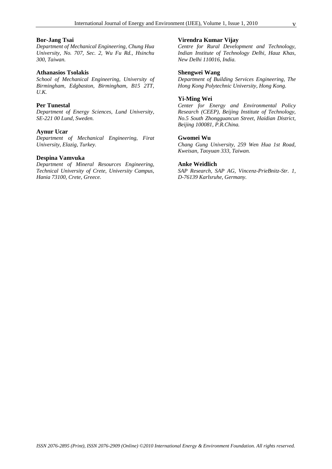#### **Bor-Jang Tsai**

*Department of Mechanical Engineering, Chung Hua University, No. 707, Sec. 2, Wu Fu Rd., Hsinchu 300, Taiwan.* 

#### **Athanasios Tsolakis**

*School of Mechanical Engineering, University of Birmingham, Edgbaston, Birmingham, B15 2TT, U.K.* 

#### **Per Tunestal**

*Department of Energy Sciences, Lund University, SE-221 00 Lund, Sweden.* 

#### **Aynur Ucar**

*Department of Mechanical Engineering, Firat University, Elazig, Turkey.* 

#### **Despina Vamvuka**

*Department of Mineral Resources Engineering, Technical University of Crete, University Campus, Hania 73100, Crete, Greece.* 

#### **Virendra Kumar Vijay**

*Centre for Rural Development and Technology, Indian Institute of Technology Delhi, Hauz Khas, New Delhi 110016, India.* 

#### **Shengwei Wang**

*Department of Building Services Engineering, The Hong Kong Polytechnic University, Hong Kong.* 

#### **Yi-Ming Wei**

*Center for Energy and Environmental Policy Research (CEEP), Beijing Institute of Technology, No.5 South Zhongguancun Street, Haidian District, Beijing 100081, P.R.China.* 

#### **Gwomei Wu**

*Chang Gung University, 259 Wen Hua 1st Road, Kweisan, Taoyuan 333, Taiwan.* 

#### **Anke Weidlich**

*SAP Research, SAP AG, Vincenz-PrieBnitz-Str. 1, D-76139 Karlsruhe, Germany.*